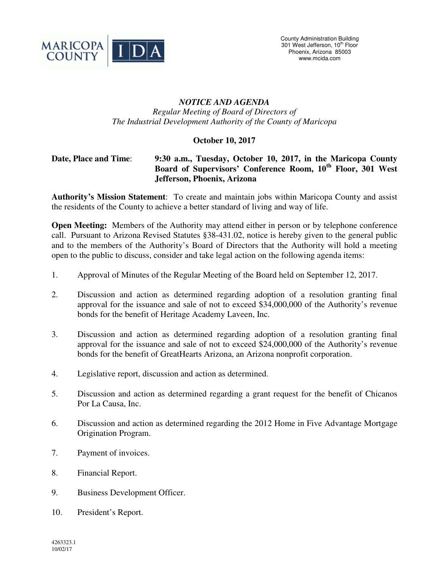

## *NOTICE AND AGENDA Regular Meeting of Board of Directors of The Industrial Development Authority of the County of Maricopa*

## **October 10, 2017**

## **Date, Place and Time**: **9:30 a.m., Tuesday, October 10, 2017, in the Maricopa County Board of Supervisors' Conference Room, 10th Floor, 301 West Jefferson, Phoenix, Arizona**

**Authority's Mission Statement**: To create and maintain jobs within Maricopa County and assist the residents of the County to achieve a better standard of living and way of life.

**Open Meeting:** Members of the Authority may attend either in person or by telephone conference call. Pursuant to Arizona Revised Statutes §38-431.02, notice is hereby given to the general public and to the members of the Authority's Board of Directors that the Authority will hold a meeting open to the public to discuss, consider and take legal action on the following agenda items:

- 1. Approval of Minutes of the Regular Meeting of the Board held on September 12, 2017.
- 2. Discussion and action as determined regarding adoption of a resolution granting final approval for the issuance and sale of not to exceed \$34,000,000 of the Authority's revenue bonds for the benefit of Heritage Academy Laveen, Inc.
- 3. Discussion and action as determined regarding adoption of a resolution granting final approval for the issuance and sale of not to exceed \$24,000,000 of the Authority's revenue bonds for the benefit of GreatHearts Arizona, an Arizona nonprofit corporation.
- 4. Legislative report, discussion and action as determined.
- 5. Discussion and action as determined regarding a grant request for the benefit of Chicanos Por La Causa, Inc.
- 6. Discussion and action as determined regarding the 2012 Home in Five Advantage Mortgage Origination Program.
- 7. Payment of invoices.
- 8. Financial Report.
- 9. Business Development Officer.
- 10. President's Report.